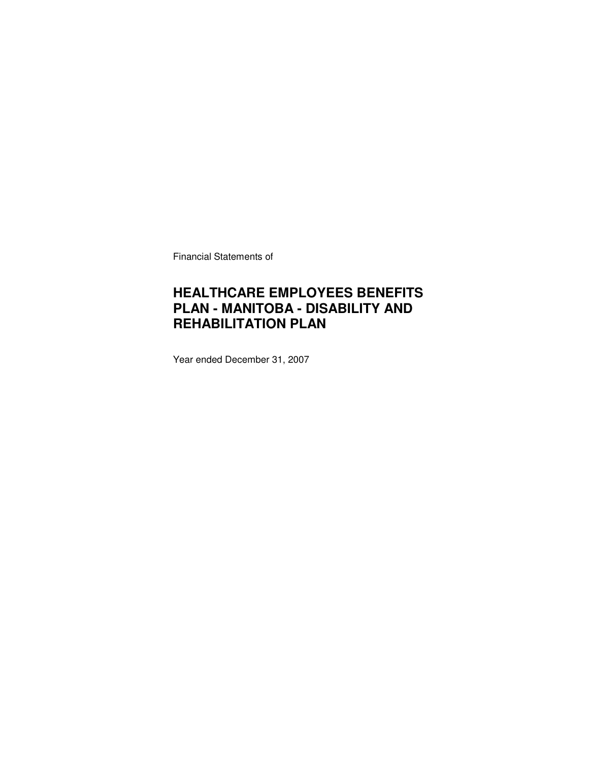Financial Statements of

### **HEALTHCARE EMPLOYEES BENEFITS PLAN - MANITOBA - DISABILITY AND REHABILITATION PLAN**

Year ended December 31, 2007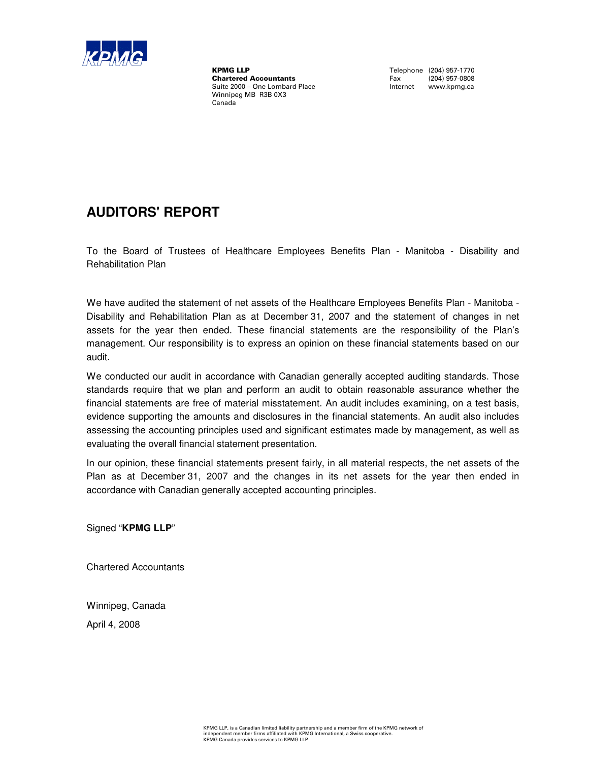

**KPMG LLP**<br> **Chartered Accountants**<br>
Fax (204) 957-0808 **Chartered Accountants** Fax (204) 957-0808<br>
Suite 2000 – One Lombard Place **Face Contract Contract Contract Contract** Contract Contract Contract Contract Contract Contract Contract Contract Contract Contract Contract Contr Suite 2000 – One Lombard Place Winnipeg MB R3B 0X3 Canada

### **AUDITORS' REPORT**

To the Board of Trustees of Healthcare Employees Benefits Plan - Manitoba - Disability and Rehabilitation Plan

We have audited the statement of net assets of the Healthcare Employees Benefits Plan - Manitoba - Disability and Rehabilitation Plan as at December 31, 2007 and the statement of changes in net assets for the year then ended. These financial statements are the responsibility of the Plan's management. Our responsibility is to express an opinion on these financial statements based on our audit.

We conducted our audit in accordance with Canadian generally accepted auditing standards. Those standards require that we plan and perform an audit to obtain reasonable assurance whether the financial statements are free of material misstatement. An audit includes examining, on a test basis, evidence supporting the amounts and disclosures in the financial statements. An audit also includes assessing the accounting principles used and significant estimates made by management, as well as evaluating the overall financial statement presentation.

In our opinion, these financial statements present fairly, in all material respects, the net assets of the Plan as at December 31, 2007 and the changes in its net assets for the year then ended in accordance with Canadian generally accepted accounting principles.

Signed "**KPMG LLP**"

Chartered Accountants

Winnipeg, Canada

April 4, 2008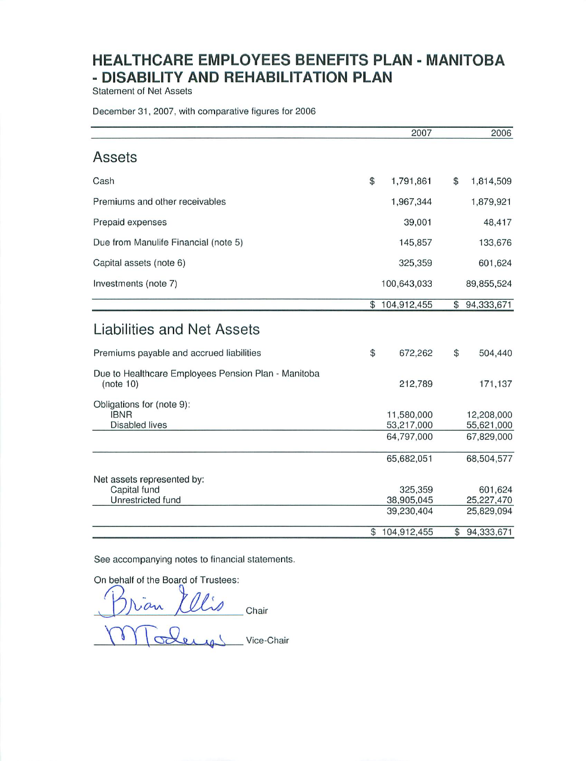**Statement of Net Assets** 

December 31, 2007, with comparative figures for 2006

|                                                                   |                | 2007                                   | 2006                                   |
|-------------------------------------------------------------------|----------------|----------------------------------------|----------------------------------------|
| Assets                                                            |                |                                        |                                        |
| Cash                                                              | \$             | 1,791,861                              | \$<br>1,814,509                        |
| Premiums and other receivables                                    |                | 1,967,344                              | 1,879,921                              |
| Prepaid expenses                                                  |                | 39,001                                 | 48,417                                 |
| Due from Manulife Financial (note 5)                              |                | 145,857                                | 133,676                                |
| Capital assets (note 6)                                           |                | 325,359                                | 601,624                                |
| Investments (note 7)                                              |                | 100,643,033                            | 89,855,524                             |
|                                                                   |                | \$104,912,455                          | \$<br>94,333,671                       |
| Liabilities and Net Assets                                        |                |                                        |                                        |
| Premiums payable and accrued liabilities                          | \$             | 672,262                                | \$<br>504,440                          |
| Due to Healthcare Employees Pension Plan - Manitoba<br>(note 10)  |                | 212,789                                | 171,137                                |
| Obligations for (note 9):<br><b>IBNR</b><br><b>Disabled lives</b> |                | 11,580,000<br>53,217,000<br>64,797,000 | 12,208,000<br>55,621,000<br>67,829,000 |
|                                                                   |                | 65,682,051                             | 68,504,577                             |
| Net assets represented by:<br>Capital fund<br>Unrestricted fund   |                | 325,359<br>38,905,045<br>39,230,404    | 601,624<br>25,227,470<br>25,829,094    |
|                                                                   | $$\mathbb{S}$$ | 104,912,455                            | \$<br>94,333,671                       |

See accompanying notes to financial statements.

On behalf of the Board of Trustees:

Tran *Illis* Chair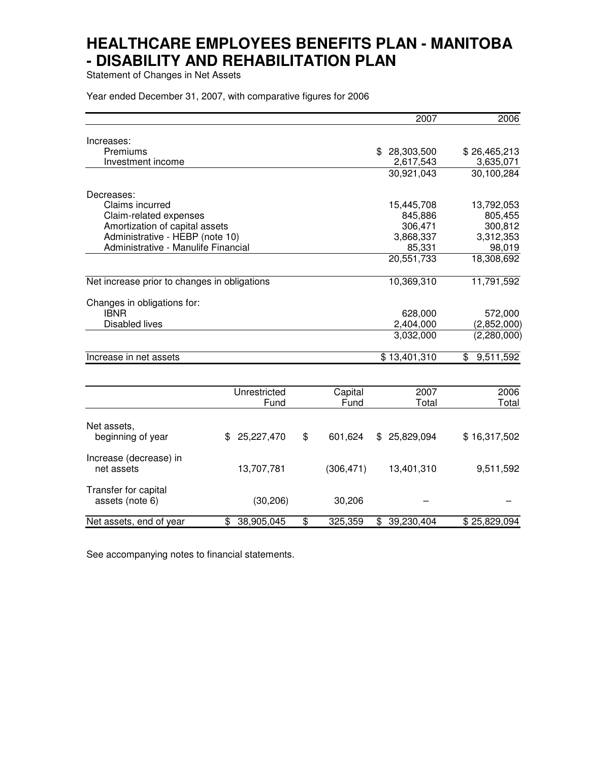Statement of Changes in Net Assets

Year ended December 31, 2007, with comparative figures for 2006

|                                              |                  |               | 2007             | 2006            |
|----------------------------------------------|------------------|---------------|------------------|-----------------|
| Increases:                                   |                  |               |                  |                 |
| Premiums                                     |                  |               | 28,303,500       | \$26,465,213    |
| Investment income                            |                  |               | 2,617,543        | 3,635,071       |
|                                              |                  |               | 30,921,043       | 30,100,284      |
| Decreases:                                   |                  |               |                  |                 |
| Claims incurred                              |                  |               | 15,445,708       | 13,792,053      |
| Claim-related expenses                       |                  |               | 845,886          | 805,455         |
| Amortization of capital assets               |                  |               | 306,471          | 300,812         |
| Administrative - HEBP (note 10)              |                  |               | 3,868,337        | 3,312,353       |
| Administrative - Manulife Financial          |                  |               | 85,331           | 98,019          |
|                                              |                  |               | 20,551,733       | 18,308,692      |
| Net increase prior to changes in obligations |                  |               | 10,369,310       | 11,791,592      |
| Changes in obligations for:                  |                  |               |                  |                 |
| <b>IBNR</b>                                  |                  |               | 628,000          | 572,000         |
| <b>Disabled lives</b>                        |                  |               | 2,404,000        | (2,852,000)     |
|                                              |                  |               | 3,032,000        | (2,280,000)     |
| Increase in net assets                       |                  |               | \$13,401,310     | 9,511,592<br>\$ |
|                                              |                  |               |                  |                 |
|                                              | Unrestricted     | Capital       | 2007             | 2006            |
|                                              | Fund             | Fund          | Total            | Total           |
| Net assets,                                  |                  |               |                  |                 |
| beginning of year                            | \$<br>25,227,470 | \$<br>601,624 | 25,829,094<br>\$ | \$16,317,502    |
| Increase (decrease) in                       |                  |               |                  |                 |
| net assets                                   | 13,707,781       | (306, 471)    | 13,401,310       | 9,511,592       |
| Transfer for capital                         |                  |               |                  |                 |
| assets (note 6)                              | (30, 206)        | 30,206        |                  |                 |
| Net assets, end of year                      | \$<br>38,905,045 | \$<br>325,359 | \$<br>39,230,404 | \$25,829,094    |

See accompanying notes to financial statements.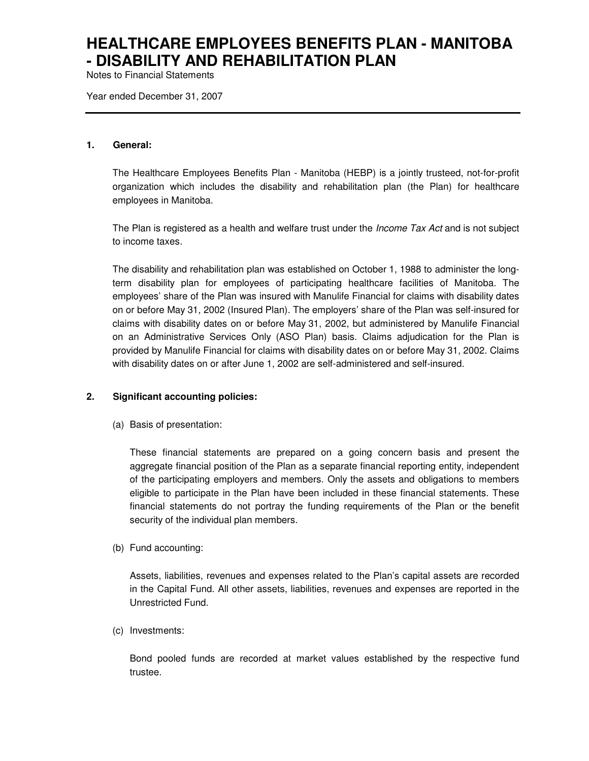Notes to Financial Statements

Year ended December 31, 2007

#### **1. General:**

The Healthcare Employees Benefits Plan - Manitoba (HEBP) is a jointly trusteed, not-for-profit organization which includes the disability and rehabilitation plan (the Plan) for healthcare employees in Manitoba.

The Plan is registered as a health and welfare trust under the *Income Tax Act* and is not subject to income taxes.

The disability and rehabilitation plan was established on October 1, 1988 to administer the longterm disability plan for employees of participating healthcare facilities of Manitoba. The employees' share of the Plan was insured with Manulife Financial for claims with disability dates on or before May 31, 2002 (Insured Plan). The employers' share of the Plan was self-insured for claims with disability dates on or before May 31, 2002, but administered by Manulife Financial on an Administrative Services Only (ASO Plan) basis. Claims adjudication for the Plan is provided by Manulife Financial for claims with disability dates on or before May 31, 2002. Claims with disability dates on or after June 1, 2002 are self-administered and self-insured.

#### **2. Significant accounting policies:**

(a) Basis of presentation:

These financial statements are prepared on a going concern basis and present the aggregate financial position of the Plan as a separate financial reporting entity, independent of the participating employers and members. Only the assets and obligations to members eligible to participate in the Plan have been included in these financial statements. These financial statements do not portray the funding requirements of the Plan or the benefit security of the individual plan members.

(b) Fund accounting:

Assets, liabilities, revenues and expenses related to the Plan's capital assets are recorded in the Capital Fund. All other assets, liabilities, revenues and expenses are reported in the Unrestricted Fund.

(c) Investments:

Bond pooled funds are recorded at market values established by the respective fund trustee.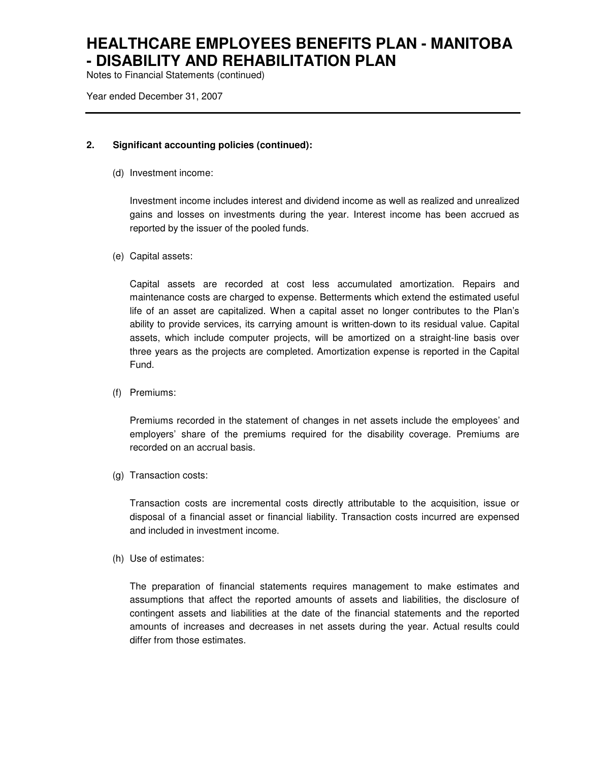Notes to Financial Statements (continued)

Year ended December 31, 2007

### **2. Significant accounting policies (continued):**

(d) Investment income:

Investment income includes interest and dividend income as well as realized and unrealized gains and losses on investments during the year. Interest income has been accrued as reported by the issuer of the pooled funds.

(e) Capital assets:

Capital assets are recorded at cost less accumulated amortization. Repairs and maintenance costs are charged to expense. Betterments which extend the estimated useful life of an asset are capitalized. When a capital asset no longer contributes to the Plan's ability to provide services, its carrying amount is written-down to its residual value. Capital assets, which include computer projects, will be amortized on a straight-line basis over three years as the projects are completed. Amortization expense is reported in the Capital Fund.

(f) Premiums:

Premiums recorded in the statement of changes in net assets include the employees' and employers' share of the premiums required for the disability coverage. Premiums are recorded on an accrual basis.

(g) Transaction costs:

Transaction costs are incremental costs directly attributable to the acquisition, issue or disposal of a financial asset or financial liability. Transaction costs incurred are expensed and included in investment income.

(h) Use of estimates:

The preparation of financial statements requires management to make estimates and assumptions that affect the reported amounts of assets and liabilities, the disclosure of contingent assets and liabilities at the date of the financial statements and the reported amounts of increases and decreases in net assets during the year. Actual results could differ from those estimates.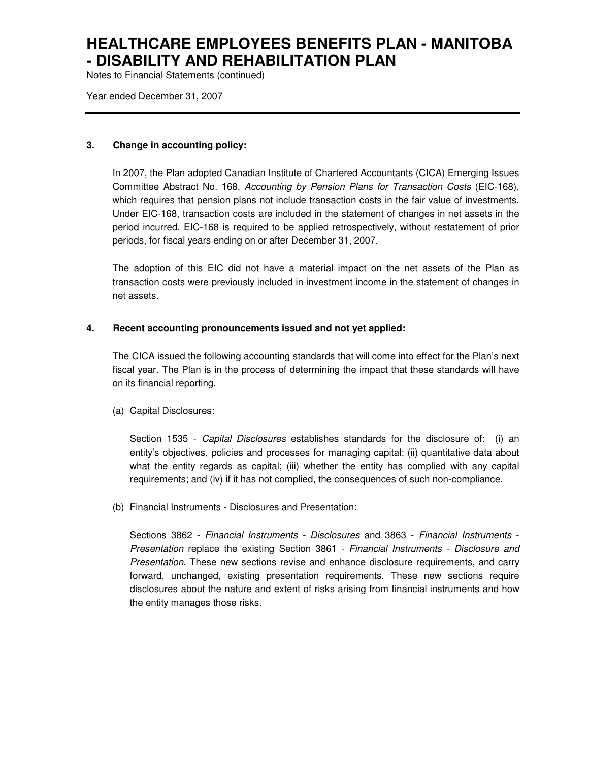Notes to Financial Statements (continued)

Year ended December 31, 2007

### **3. Change in accounting policy:**

In 2007, the Plan adopted Canadian Institute of Chartered Accountants (CICA) Emerging Issues Committee Abstract No. 168, Accounting by Pension Plans for Transaction Costs (EIC-168), which requires that pension plans not include transaction costs in the fair value of investments. Under EIC-168, transaction costs are included in the statement of changes in net assets in the period incurred. EIC-168 is required to be applied retrospectively, without restatement of prior periods, for fiscal years ending on or after December 31, 2007.

The adoption of this EIC did not have a material impact on the net assets of the Plan as transaction costs were previously included in investment income in the statement of changes in net assets.

### **4. Recent accounting pronouncements issued and not yet applied:**

The CICA issued the following accounting standards that will come into effect for the Plan's next fiscal year. The Plan is in the process of determining the impact that these standards will have on its financial reporting.

(a) Capital Disclosures:

Section 1535 - Capital Disclosures establishes standards for the disclosure of: (i) an entity's objectives, policies and processes for managing capital; (ii) quantitative data about what the entity regards as capital; (iii) whether the entity has complied with any capital requirements; and (iv) if it has not complied, the consequences of such non-compliance.

(b) Financial Instruments - Disclosures and Presentation:

Sections 3862 - Financial Instruments - Disclosures and 3863 - Financial Instruments - Presentation replace the existing Section 3861 - Financial Instruments - Disclosure and Presentation. These new sections revise and enhance disclosure requirements, and carry forward, unchanged, existing presentation requirements. These new sections require disclosures about the nature and extent of risks arising from financial instruments and how the entity manages those risks.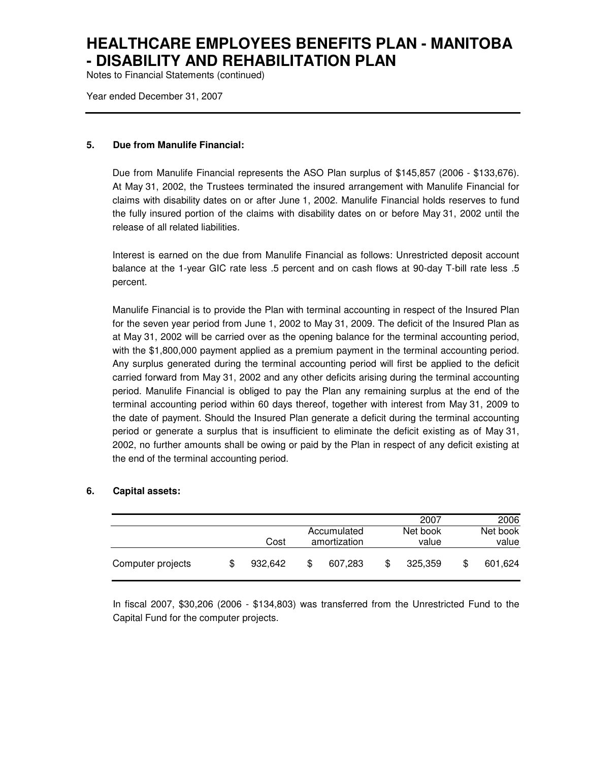Notes to Financial Statements (continued)

Year ended December 31, 2007

#### **5. Due from Manulife Financial:**

Due from Manulife Financial represents the ASO Plan surplus of \$145,857 (2006 - \$133,676). At May 31, 2002, the Trustees terminated the insured arrangement with Manulife Financial for claims with disability dates on or after June 1, 2002. Manulife Financial holds reserves to fund the fully insured portion of the claims with disability dates on or before May 31, 2002 until the release of all related liabilities.

Interest is earned on the due from Manulife Financial as follows: Unrestricted deposit account balance at the 1-year GIC rate less .5 percent and on cash flows at 90-day T-bill rate less .5 percent.

Manulife Financial is to provide the Plan with terminal accounting in respect of the Insured Plan for the seven year period from June 1, 2002 to May 31, 2009. The deficit of the Insured Plan as at May 31, 2002 will be carried over as the opening balance for the terminal accounting period, with the \$1,800,000 payment applied as a premium payment in the terminal accounting period. Any surplus generated during the terminal accounting period will first be applied to the deficit carried forward from May 31, 2002 and any other deficits arising during the terminal accounting period. Manulife Financial is obliged to pay the Plan any remaining surplus at the end of the terminal accounting period within 60 days thereof, together with interest from May 31, 2009 to the date of payment. Should the Insured Plan generate a deficit during the terminal accounting period or generate a surplus that is insufficient to eliminate the deficit existing as of May 31, 2002, no further amounts shall be owing or paid by the Plan in respect of any deficit existing at the end of the terminal accounting period.

#### **6. Capital assets:**

|                   |   |         |                             |         |                   | 2007    |                   | 2006    |
|-------------------|---|---------|-----------------------------|---------|-------------------|---------|-------------------|---------|
|                   |   | Cost    | Accumulated<br>amortization |         | Net book<br>value |         | Net book<br>value |         |
| Computer projects | S | 932.642 | S                           | 607.283 | S                 | 325.359 |                   | 601,624 |

In fiscal 2007, \$30,206 (2006 - \$134,803) was transferred from the Unrestricted Fund to the Capital Fund for the computer projects.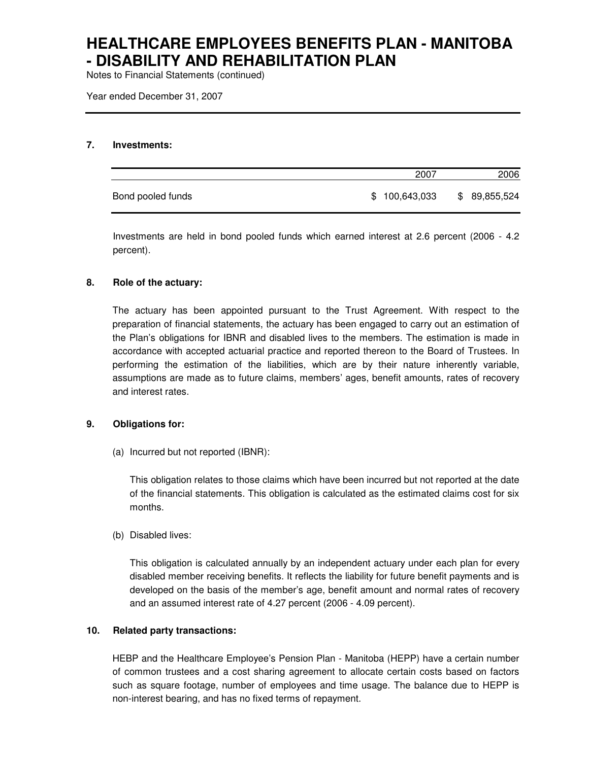Notes to Financial Statements (continued)

Year ended December 31, 2007

#### **7. Investments:**

|                   | 2007          | 2006          |
|-------------------|---------------|---------------|
| Bond pooled funds | \$100,643,033 | \$ 89,855,524 |

Investments are held in bond pooled funds which earned interest at 2.6 percent (2006 - 4.2 percent).

#### **8. Role of the actuary:**

The actuary has been appointed pursuant to the Trust Agreement. With respect to the preparation of financial statements, the actuary has been engaged to carry out an estimation of the Plan's obligations for IBNR and disabled lives to the members. The estimation is made in accordance with accepted actuarial practice and reported thereon to the Board of Trustees. In performing the estimation of the liabilities, which are by their nature inherently variable, assumptions are made as to future claims, members' ages, benefit amounts, rates of recovery and interest rates.

#### **9. Obligations for:**

(a) Incurred but not reported (IBNR):

This obligation relates to those claims which have been incurred but not reported at the date of the financial statements. This obligation is calculated as the estimated claims cost for six months.

(b) Disabled lives:

This obligation is calculated annually by an independent actuary under each plan for every disabled member receiving benefits. It reflects the liability for future benefit payments and is developed on the basis of the member's age, benefit amount and normal rates of recovery and an assumed interest rate of 4.27 percent (2006 - 4.09 percent).

### **10. Related party transactions:**

HEBP and the Healthcare Employee's Pension Plan - Manitoba (HEPP) have a certain number of common trustees and a cost sharing agreement to allocate certain costs based on factors such as square footage, number of employees and time usage. The balance due to HEPP is non-interest bearing, and has no fixed terms of repayment.